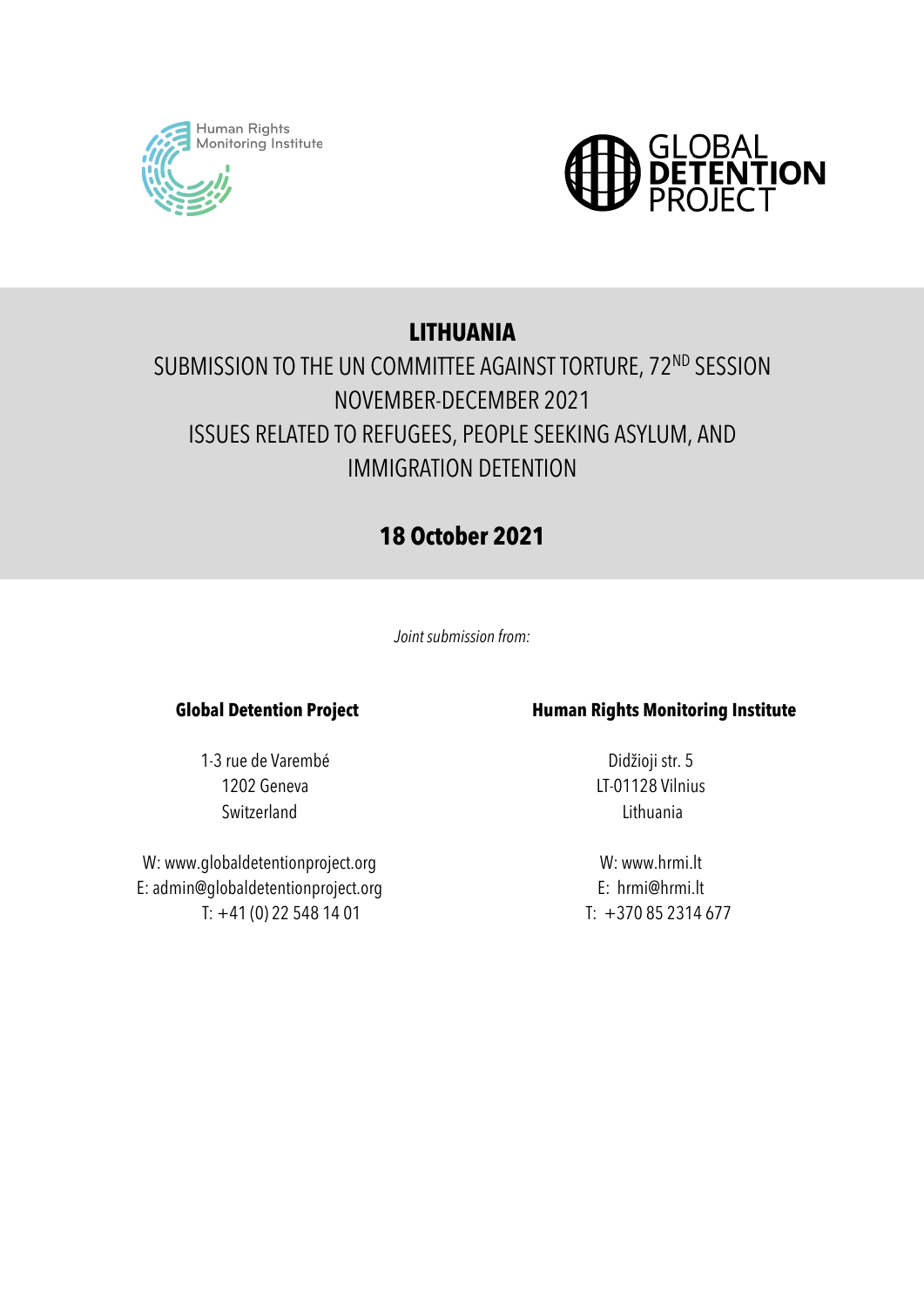



# **LITHUANIA**

# SUBMISSION TO THE UN COMMITTEE AGAINST TORTURE, 72<sup>ND</sup> SESSION NOVEMBER-DECEMBER 2021 ISSUES RELATED TO REFUGEES, PEOPLE SEEKING ASYLUM, AND IMMIGRATION DETENTION

# **18 October 2021**

*Joint submission from:*

### **Global Detention Project**

1-3 rue de Varembé 1202 Geneva Switzerland

W: www.globaldetentionproject.org E: admin@globaldetentionproject.org T: +41 (0) 22 548 14 01

### **Human Rights Monitoring Institute**

Didžioji str. 5 LT-01128 Vilnius Lithuania

W: www.hrmi.lt E: hrmi@hrmi.lt  $T: +370852314677$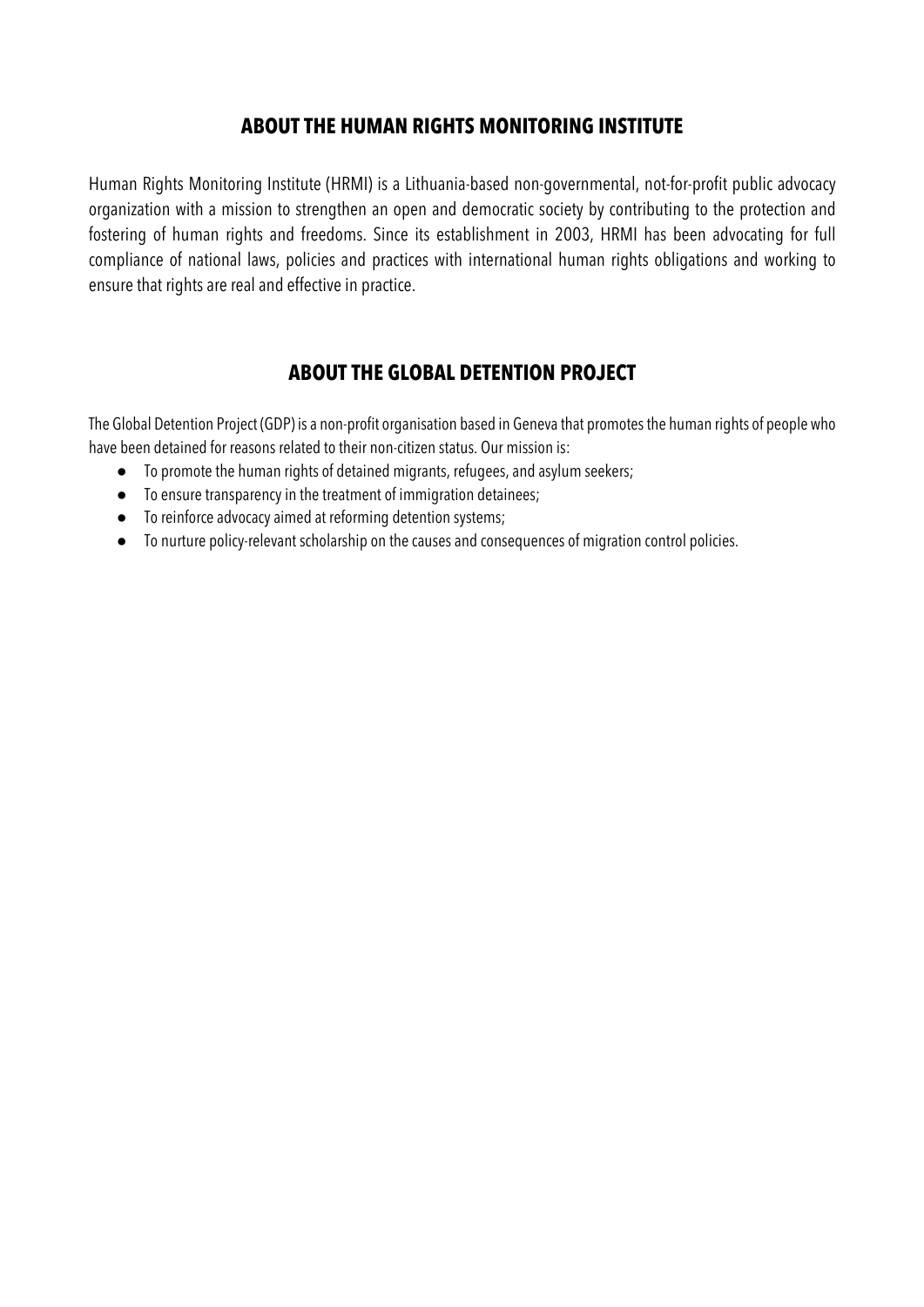## **ABOUT THE HUMAN RIGHTS MONITORING INSTITUTE**

Human Rights Monitoring Institute (HRMI) is a Lithuania-based non-governmental, not-for-profit public advocacy organization with a mission to strengthen an open and democratic society by contributing to the protection and fostering of human rights and freedoms. Since its establishment in 2003, HRMI has been advocating for full compliance of national laws, policies and practices with international human rights obligations and working to ensure that rights are real and effective in practice.

## **ABOUT THE GLOBAL DETENTION PROJECT**

The Global Detention Project (GDP) is a non-profit organisation based in Geneva that promotes the human rights of people who have been detained for reasons related to their non-citizen status. Our mission is:

- To promote the human rights of detained migrants, refugees, and asylum seekers;
- To ensure transparencyin the treatment of immigration detainees;
- To reinforce advocacy aimed at reforming detention systems;
- To nurture policy-relevant scholarship on the causes and consequences of migration control policies.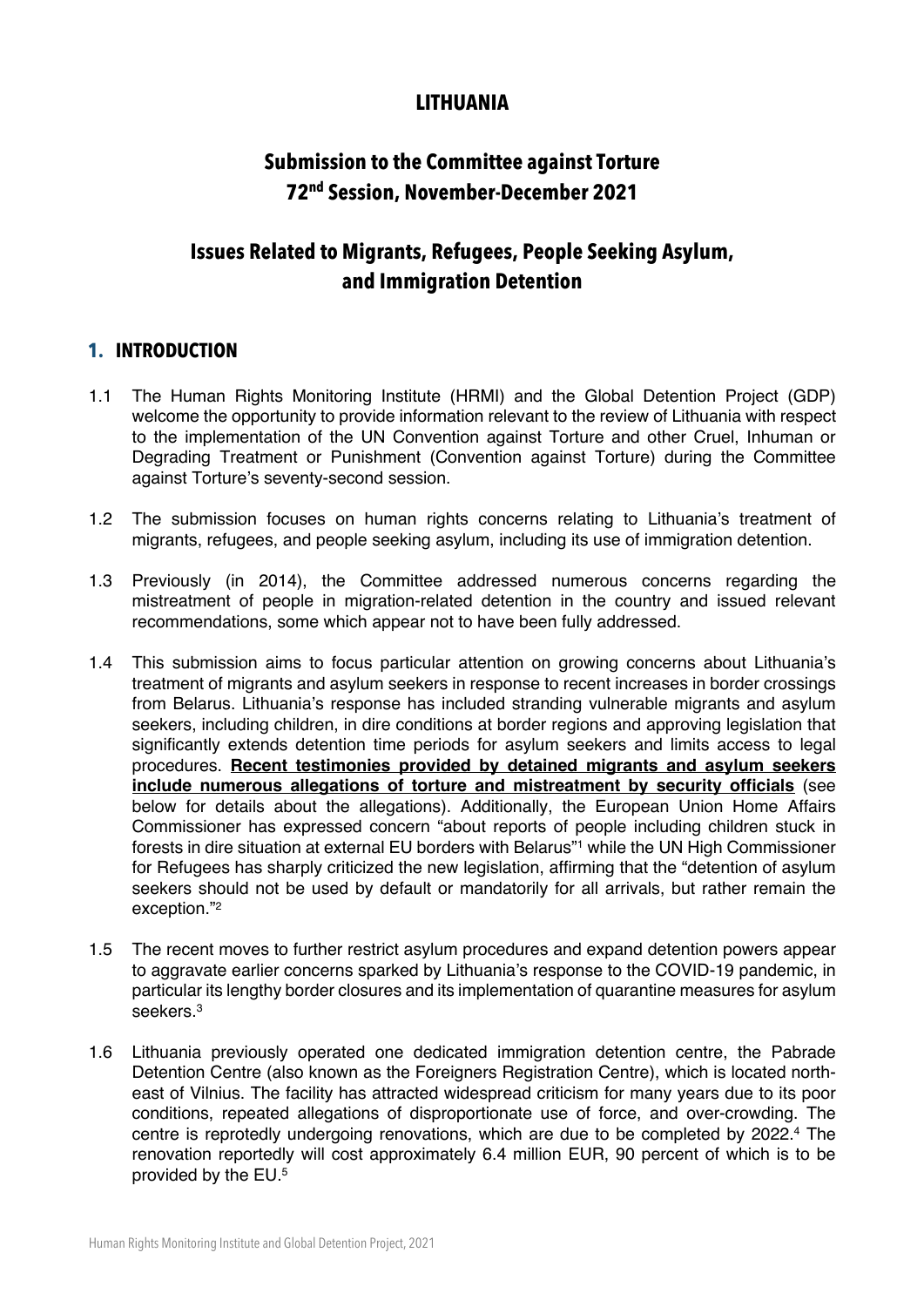## **LITHUANIA**

## **Submission to the Committee against Torture 72nd Session, November-December 2021**

## **Issues Related to Migrants, Refugees, People Seeking Asylum, and Immigration Detention**

### **1. INTRODUCTION**

- 1.1 The Human Rights Monitoring Institute (HRMI) and the Global Detention Project (GDP) welcome the opportunity to provide information relevant to the review of Lithuania with respect to the implementation of the UN Convention against Torture and other Cruel, Inhuman or Degrading Treatment or Punishment (Convention against Torture) during the Committee against Torture's seventy-second session.
- 1.2 The submission focuses on human rights concerns relating to Lithuania's treatment of migrants, refugees, and people seeking asylum, including its use of immigration detention.
- 1.3 Previously (in 2014), the Committee addressed numerous concerns regarding the mistreatment of people in migration-related detention in the country and issued relevant recommendations, some which appear not to have been fully addressed.
- 1.4 This submission aims to focus particular attention on growing concerns about Lithuania's treatment of migrants and asylum seekers in response to recent increases in border crossings from Belarus. Lithuania's response has included stranding vulnerable migrants and asylum seekers, including children, in dire conditions at border regions and approving legislation that significantly extends detention time periods for asylum seekers and limits access to legal procedures. **Recent testimonies provided by detained migrants and asylum seekers include numerous allegations of torture and mistreatment by security officials** (see below for details about the allegations). Additionally, the European Union Home Affairs Commissioner has expressed concern "about reports of people including children stuck in forests in dire situation at external EU borders with Belarus"<sup>1</sup> while the UN High Commissioner for Refugees has sharply criticized the new legislation, affirming that the "detention of asylum seekers should not be used by default or mandatorily for all arrivals, but rather remain the exception."2
- 1.5 The recent moves to further restrict asylum procedures and expand detention powers appear to aggravate earlier concerns sparked by Lithuania's response to the COVID-19 pandemic, in particular its lengthy border closures and its implementation of quarantine measures for asylum seekers.3
- 1.6 Lithuania previously operated one dedicated immigration detention centre, the Pabrade Detention Centre (also known as the Foreigners Registration Centre), which is located northeast of Vilnius. The facility has attracted widespread criticism for many years due to its poor conditions, repeated allegations of disproportionate use of force, and over-crowding. The centre is reprotedly undergoing renovations, which are due to be completed by 2022.<sup>4</sup> The renovation reportedly will cost approximately 6.4 million EUR, 90 percent of which is to be provided by the EU. 5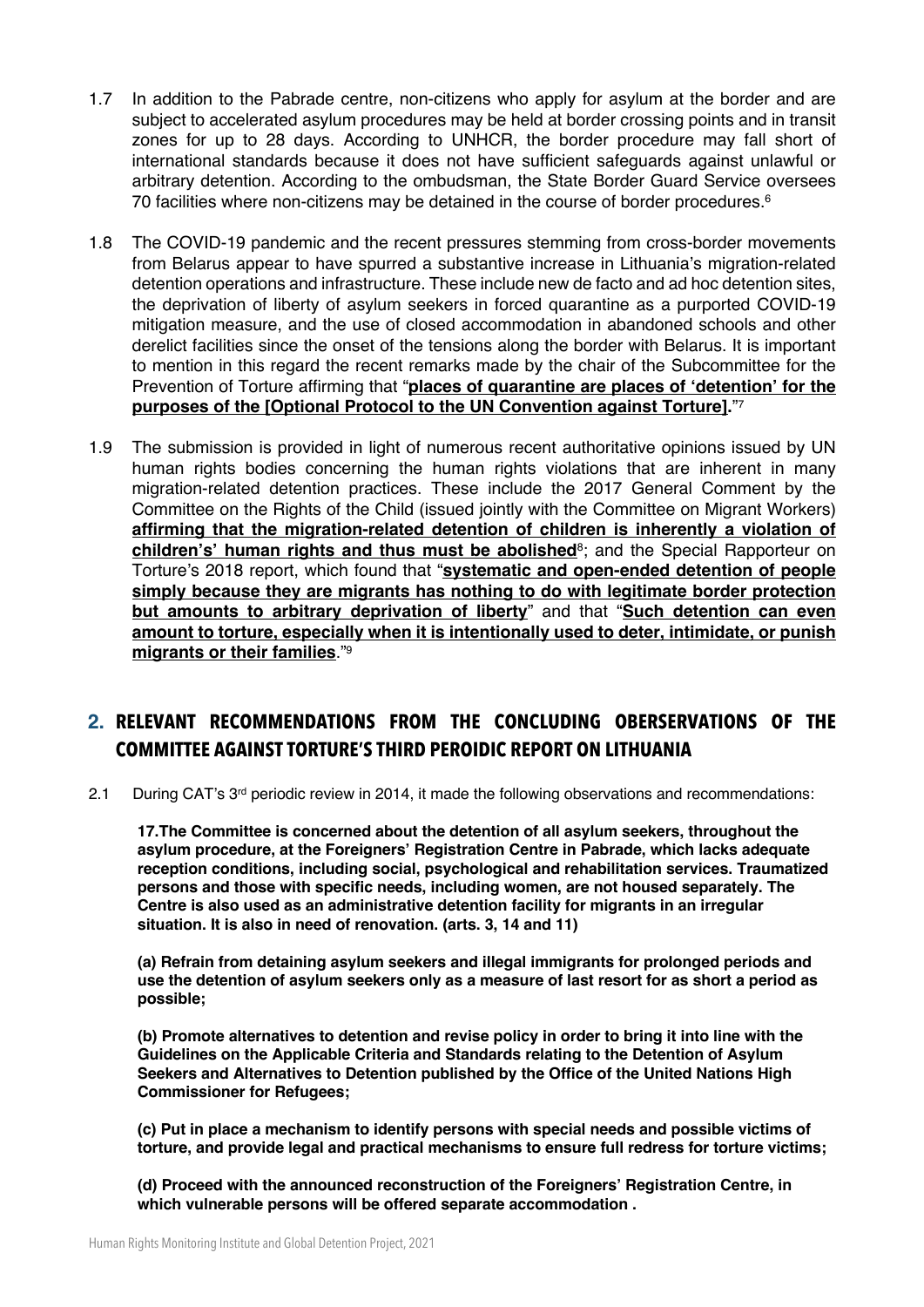- 1.7 In addition to the Pabrade centre, non-citizens who apply for asylum at the border and are subject to accelerated asylum procedures may be held at border crossing points and in transit zones for up to 28 days. According to UNHCR, the border procedure may fall short of international standards because it does not have sufficient safeguards against unlawful or arbitrary detention. According to the ombudsman, the State Border Guard Service oversees 70 facilities where non-citizens may be detained in the course of border procedures.<sup>6</sup>
- 1.8 The COVID-19 pandemic and the recent pressures stemming from cross-border movements from Belarus appear to have spurred a substantive increase in Lithuania's migration-related detention operations and infrastructure. These include new de facto and ad hoc detention sites, the deprivation of liberty of asylum seekers in forced quarantine as a purported COVID-19 mitigation measure, and the use of closed accommodation in abandoned schools and other derelict facilities since the onset of the tensions along the border with Belarus. It is important to mention in this regard the recent remarks made by the chair of the Subcommittee for the Prevention of Torture affirming that "**places of quarantine are places of 'detention' for the purposes of the [Optional Protocol to the UN Convention against Torture].**"7
- 1.9 The submission is provided in light of numerous recent authoritative opinions issued by UN human rights bodies concerning the human rights violations that are inherent in many migration-related detention practices. These include the 2017 General Comment by the Committee on the Rights of the Child (issued jointly with the Committee on Migrant Workers) **affirming that the migration-related detention of children is inherently a violation of children's' human rights and thus must be abolished**<sup>8</sup>; and the Special Rapporteur on Torture's 2018 report, which found that "**systematic and open-ended detention of people simply because they are migrants has nothing to do with legitimate border protection but amounts to arbitrary deprivation of liberty**" and that "**Such detention can even amount to torture, especially when it is intentionally used to deter, intimidate, or punish migrants or their families**."9

## **2. RELEVANT RECOMMENDATIONS FROM THE CONCLUDING OBERSERVATIONS OF THE COMMITTEE AGAINST TORTURE'S THIRD PEROIDIC REPORT ON LITHUANIA**

2.1 During CAT's 3rd periodic review in 2014, it made the following observations and recommendations:

**17.The Committee is concerned about the detention of all asylum seekers, throughout the asylum procedure, at the Foreigners' Registration Centre in Pabrade, which lacks adequate reception conditions, including social, psychological and rehabilitation services. Traumatized persons and those with specific needs, including women, are not housed separately. The Centre is also used as an administrative detention facility for migrants in an irregular situation. It is also in need of renovation. (arts. 3, 14 and 11)**

**(a) Refrain from detaining asylum seekers and illegal immigrants for prolonged periods and use the detention of asylum seekers only as a measure of last resort for as short a period as possible;**

**(b) Promote alternatives to detention and revise policy in order to bring it into line with the Guidelines on the Applicable Criteria and Standards relating to the Detention of Asylum Seekers and Alternatives to Detention published by the Office of the United Nations High Commissioner for Refugees;**

**(c) Put in place a mechanism to identify persons with special needs and possible victims of torture, and provide legal and practical mechanisms to ensure full redress for torture victims;**

**(d) Proceed with the announced reconstruction of the Foreigners' Registration Centre, in which vulnerable persons will be offered separate accommodation .**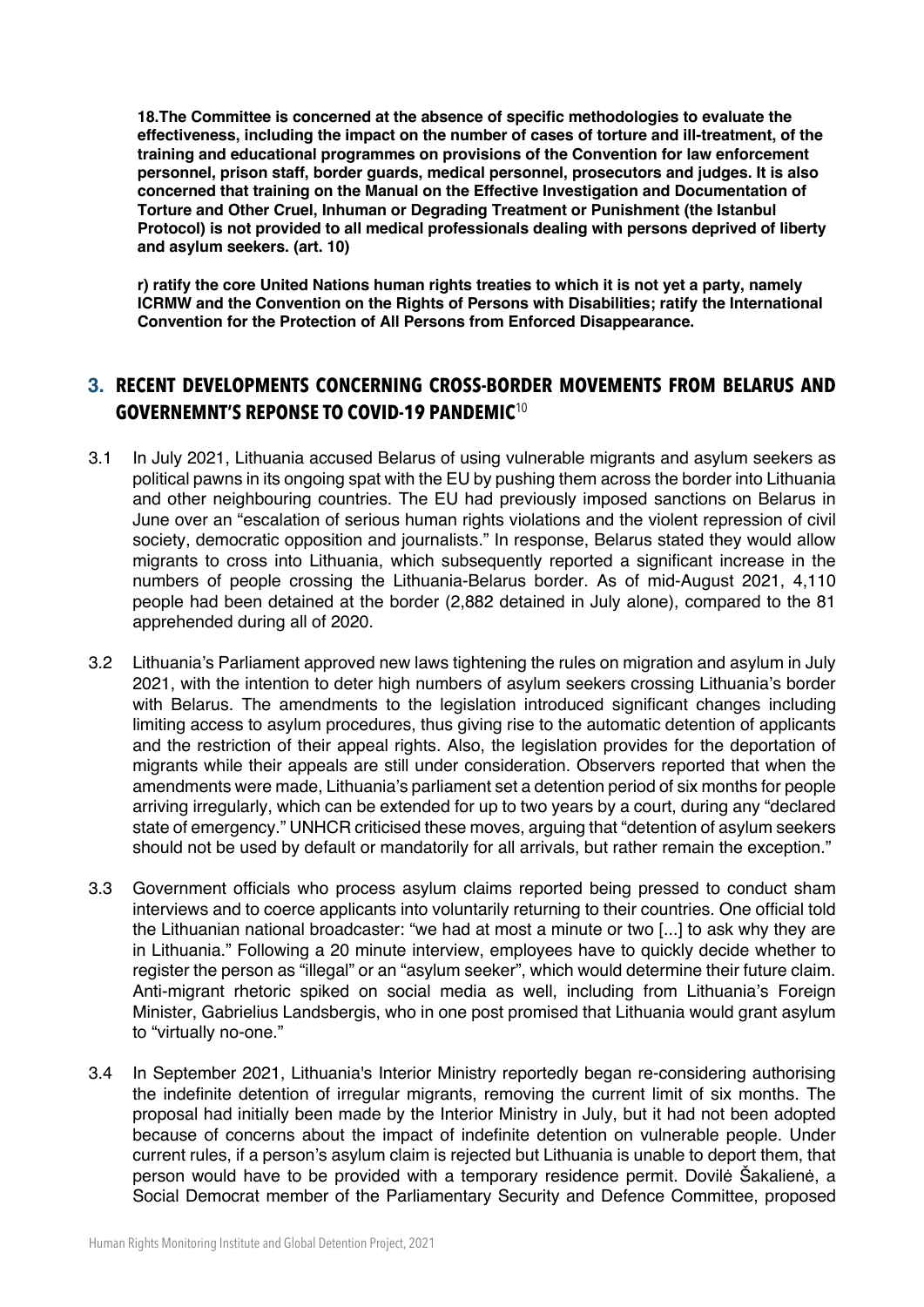**18.The Committee is concerned at the absence of specific methodologies to evaluate the effectiveness, including the impact on the number of cases of torture and ill-treatment, of the training and educational programmes on provisions of the Convention for law enforcement personnel, prison staff, border guards, medical personnel, prosecutors and judges. It is also concerned that training on the Manual on the Effective Investigation and Documentation of Torture and Other Cruel, Inhuman or Degrading Treatment or Punishment (the Istanbul Protocol) is not provided to all medical professionals dealing with persons deprived of liberty and asylum seekers. (art. 10)**

**r) ratify the core United Nations human rights treaties to which it is not yet a party, namely ICRMW and the Convention on the Rights of Persons with Disabilities; ratify the International Convention for the Protection of All Persons from Enforced Disappearance.**

## **3. RECENT DEVELOPMENTS CONCERNING CROSS-BORDER MOVEMENTS FROM BELARUS AND GOVERNEMNT'S REPONSE TO COVID-19 PANDEMIC**<sup>10</sup>

- 3.1 In July 2021, Lithuania accused Belarus of using vulnerable migrants and asylum seekers as political pawns in its ongoing spat with the EU by pushing them across the border into Lithuania and other neighbouring countries. The EU had previously imposed sanctions on Belarus in June over an "escalation of serious human rights violations and the violent repression of civil society, democratic opposition and journalists." In response, Belarus stated they would allow migrants to cross into Lithuania, which subsequently reported a significant increase in the numbers of people crossing the Lithuania-Belarus border. As of mid-August 2021, 4,110 people had been detained at the border (2,882 detained in July alone), compared to the 81 apprehended during all of 2020.
- 3.2 Lithuania's Parliament approved new laws tightening the rules on migration and asylum in July 2021, with the intention to deter high numbers of asylum seekers crossing Lithuania's border with Belarus. The amendments to the legislation introduced significant changes including limiting access to asylum procedures, thus giving rise to the automatic detention of applicants and the restriction of their appeal rights. Also, the legislation provides for the deportation of migrants while their appeals are still under consideration. Observers reported that when the amendments were made, Lithuania's parliament set a detention period of six months for people arriving irregularly, which can be extended for up to two years by a court, during any "declared state of emergency." UNHCR criticised these moves, arguing that "detention of asylum seekers should not be used by default or mandatorily for all arrivals, but rather remain the exception."
- 3.3 Government officials who process asylum claims reported being pressed to conduct sham interviews and to coerce applicants into voluntarily returning to their countries. One official told the Lithuanian national broadcaster: "we had at most a minute or two [...] to ask why they are in Lithuania." Following a 20 minute interview, employees have to quickly decide whether to register the person as "illegal" or an "asylum seeker", which would determine their future claim. Anti-migrant rhetoric spiked on social media as well, including from Lithuania's Foreign Minister, Gabrielius Landsbergis, who in one post promised that Lithuania would grant asylum to "virtually no-one."
- 3.4 In September 2021, Lithuania's Interior Ministry reportedly began re-considering authorising the indefinite detention of irregular migrants, removing the current limit of six months. The proposal had initially been made by the Interior Ministry in July, but it had not been adopted because of concerns about the impact of indefinite detention on vulnerable people. Under current rules, if a person's asylum claim is rejected but Lithuania is unable to deport them, that person would have to be provided with a temporary residence permit. Dovilė Šakalienė, a Social Democrat member of the Parliamentary Security and Defence Committee, proposed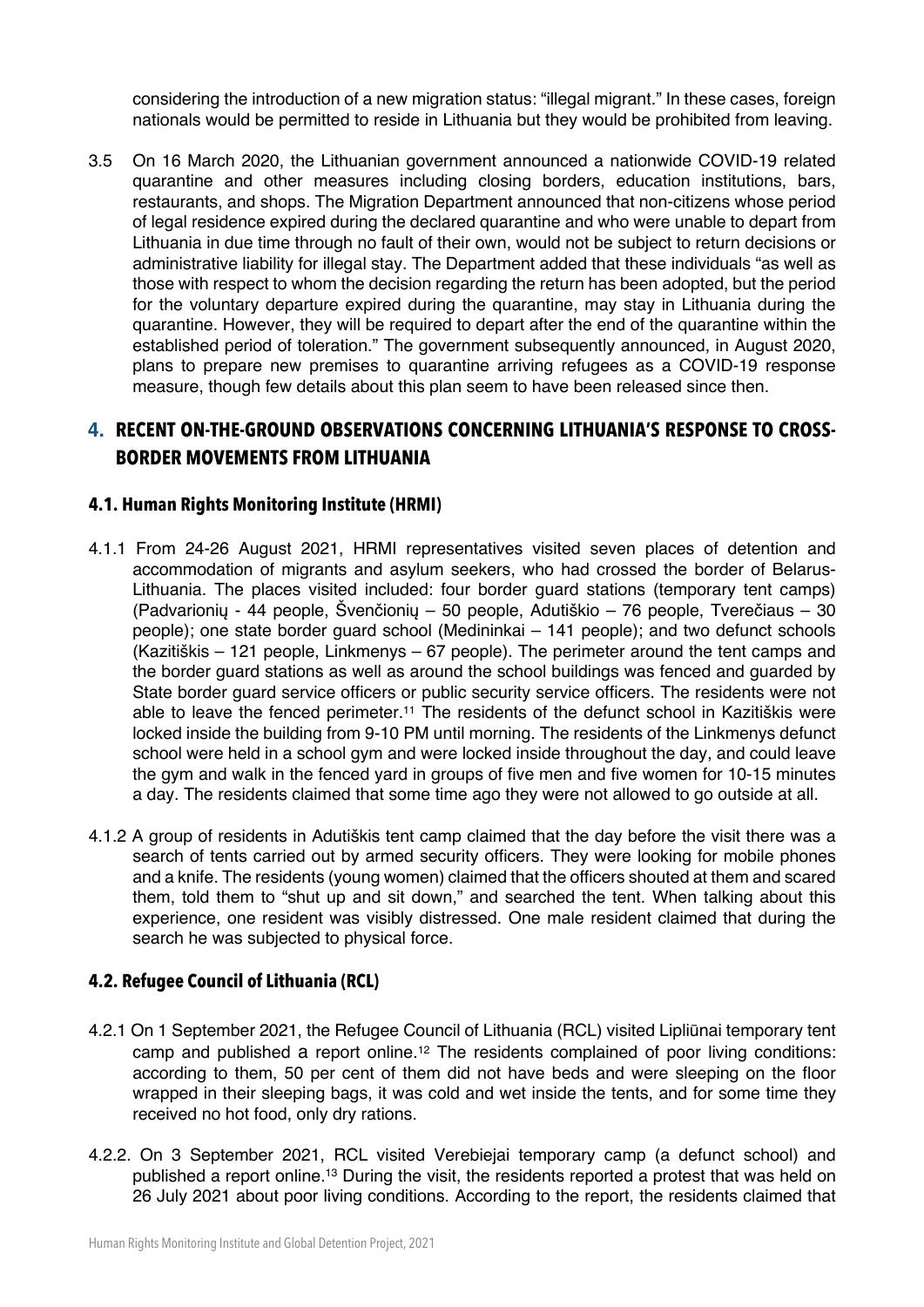considering the introduction of a new migration status: "illegal migrant." In these cases, foreign nationals would be permitted to reside in Lithuania but they would be prohibited from leaving.

3.5 On 16 March 2020, the Lithuanian government announced a nationwide COVID-19 related quarantine and other measures including closing borders, education institutions, bars, restaurants, and shops. The Migration Department announced that non-citizens whose period of legal residence expired during the declared quarantine and who were unable to depart from Lithuania in due time through no fault of their own, would not be subject to return decisions or administrative liability for illegal stay. The Department added that these individuals "as well as those with respect to whom the decision regarding the return has been adopted, but the period for the voluntary departure expired during the quarantine, may stay in Lithuania during the quarantine. However, they will be required to depart after the end of the quarantine within the established period of toleration." The government subsequently announced, in August 2020, plans to prepare new premises to quarantine arriving refugees as a COVID-19 response measure, though few details about this plan seem to have been released since then.

### **4. RECENT ON-THE-GROUND OBSERVATIONS CONCERNING LITHUANIA'S RESPONSE TO CROSS-BORDER MOVEMENTS FROM LITHUANIA**

#### **4.1. Human Rights Monitoring Institute (HRMI)**

- 4.1.1 From 24-26 August 2021, HRMI representatives visited seven places of detention and accommodation of migrants and asylum seekers, who had crossed the border of Belarus-Lithuania. The places visited included: four border guard stations (temporary tent camps) (Padvarionių - 44 people, Švenčionių – 50 people, Adutiškio – 76 people, Tverečiaus – 30 people); one state border guard school (Medininkai – 141 people); and two defunct schools (Kazitiškis – 121 people, Linkmenys – 67 people). The perimeter around the tent camps and the border guard stations as well as around the school buildings was fenced and guarded by State border guard service officers or public security service officers. The residents were not able to leave the fenced perimeter.<sup>11</sup> The residents of the defunct school in Kazitiškis were locked inside the building from 9-10 PM until morning. The residents of the Linkmenys defunct school were held in a school gym and were locked inside throughout the day, and could leave the gym and walk in the fenced yard in groups of five men and five women for 10-15 minutes a day. The residents claimed that some time ago they were not allowed to go outside at all.
- 4.1.2 A group of residents in Adutiškis tent camp claimed that the day before the visit there was a search of tents carried out by armed security officers. They were looking for mobile phones and a knife. The residents (young women) claimed that the officers shouted at them and scared them, told them to "shut up and sit down," and searched the tent. When talking about this experience, one resident was visibly distressed. One male resident claimed that during the search he was subjected to physical force.

#### **4.2. Refugee Council of Lithuania (RCL)**

- 4.2.1 On 1 September 2021, the Refugee Council of Lithuania (RCL) visited Lipliūnai temporary tent camp and published a report online.12 The residents complained of poor living conditions: according to them, 50 per cent of them did not have beds and were sleeping on the floor wrapped in their sleeping bags, it was cold and wet inside the tents, and for some time they received no hot food, only dry rations.
- 4.2.2. On 3 September 2021, RCL visited Verebiejai temporary camp (a defunct school) and published a report online.<sup>13</sup> During the visit, the residents reported a protest that was held on 26 July 2021 about poor living conditions. According to the report, the residents claimed that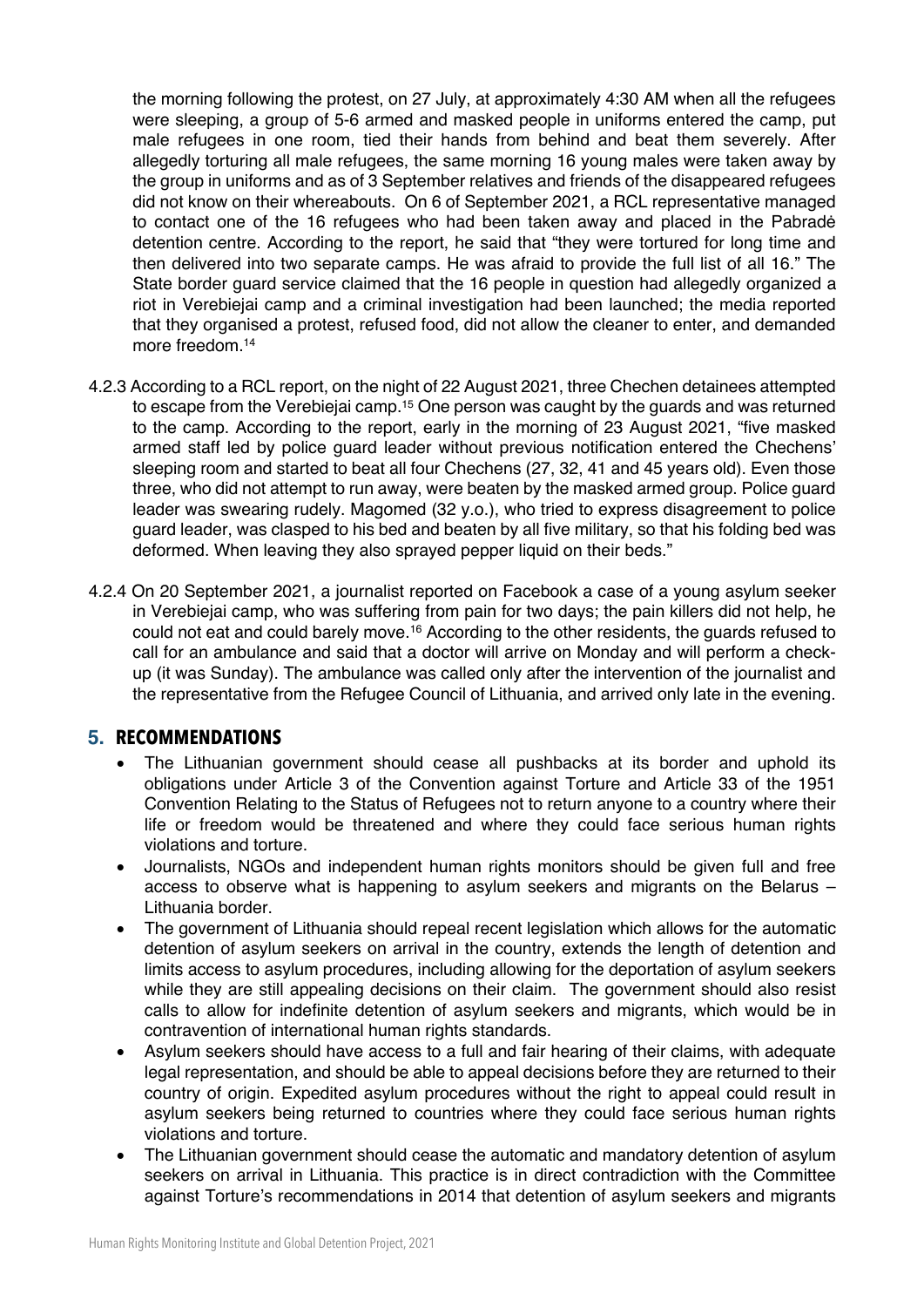the morning following the protest, on 27 July, at approximately 4:30 AM when all the refugees were sleeping, a group of 5-6 armed and masked people in uniforms entered the camp, put male refugees in one room, tied their hands from behind and beat them severely. After allegedly torturing all male refugees, the same morning 16 young males were taken away by the group in uniforms and as of 3 September relatives and friends of the disappeared refugees did not know on their whereabouts. On 6 of September 2021, a RCL representative managed to contact one of the 16 refugees who had been taken away and placed in the Pabradė detention centre. According to the report, he said that "they were tortured for long time and then delivered into two separate camps. He was afraid to provide the full list of all 16." The State border guard service claimed that the 16 people in question had allegedly organized a riot in Verebiejai camp and a criminal investigation had been launched; the media reported that they organised a protest, refused food, did not allow the cleaner to enter, and demanded more freedom 14

- 4.2.3 According to a RCL report, on the night of 22 August 2021, three Chechen detainees attempted to escape from the Verebiejai camp.<sup>15</sup> One person was caught by the guards and was returned to the camp. According to the report, early in the morning of 23 August 2021, "five masked armed staff led by police guard leader without previous notification entered the Chechens' sleeping room and started to beat all four Chechens (27, 32, 41 and 45 years old). Even those three, who did not attempt to run away, were beaten by the masked armed group. Police guard leader was swearing rudely. Magomed (32 y.o.), who tried to express disagreement to police guard leader, was clasped to his bed and beaten by all five military, so that his folding bed was deformed. When leaving they also sprayed pepper liquid on their beds."
- 4.2.4 On 20 September 2021, a journalist reported on Facebook a case of a young asylum seeker in Verebiejai camp, who was suffering from pain for two days; the pain killers did not help, he could not eat and could barely move.<sup>16</sup> According to the other residents, the quards refused to call for an ambulance and said that a doctor will arrive on Monday and will perform a checkup (it was Sunday). The ambulance was called only after the intervention of the journalist and the representative from the Refugee Council of Lithuania, and arrived only late in the evening.

### **5. RECOMMENDATIONS**

- The Lithuanian government should cease all pushbacks at its border and uphold its obligations under Article 3 of the Convention against Torture and Article 33 of the 1951 Convention Relating to the Status of Refugees not to return anyone to a country where their life or freedom would be threatened and where they could face serious human rights violations and torture.
- Journalists, NGOs and independent human rights monitors should be given full and free access to observe what is happening to asylum seekers and migrants on the Belarus – Lithuania border.
- The government of Lithuania should repeal recent legislation which allows for the automatic detention of asylum seekers on arrival in the country, extends the length of detention and limits access to asylum procedures, including allowing for the deportation of asylum seekers while they are still appealing decisions on their claim. The government should also resist calls to allow for indefinite detention of asylum seekers and migrants, which would be in contravention of international human rights standards.
- Asylum seekers should have access to a full and fair hearing of their claims, with adequate legal representation, and should be able to appeal decisions before they are returned to their country of origin. Expedited asylum procedures without the right to appeal could result in asylum seekers being returned to countries where they could face serious human rights violations and torture.
- The Lithuanian government should cease the automatic and mandatory detention of asylum seekers on arrival in Lithuania. This practice is in direct contradiction with the Committee against Torture's recommendations in 2014 that detention of asylum seekers and migrants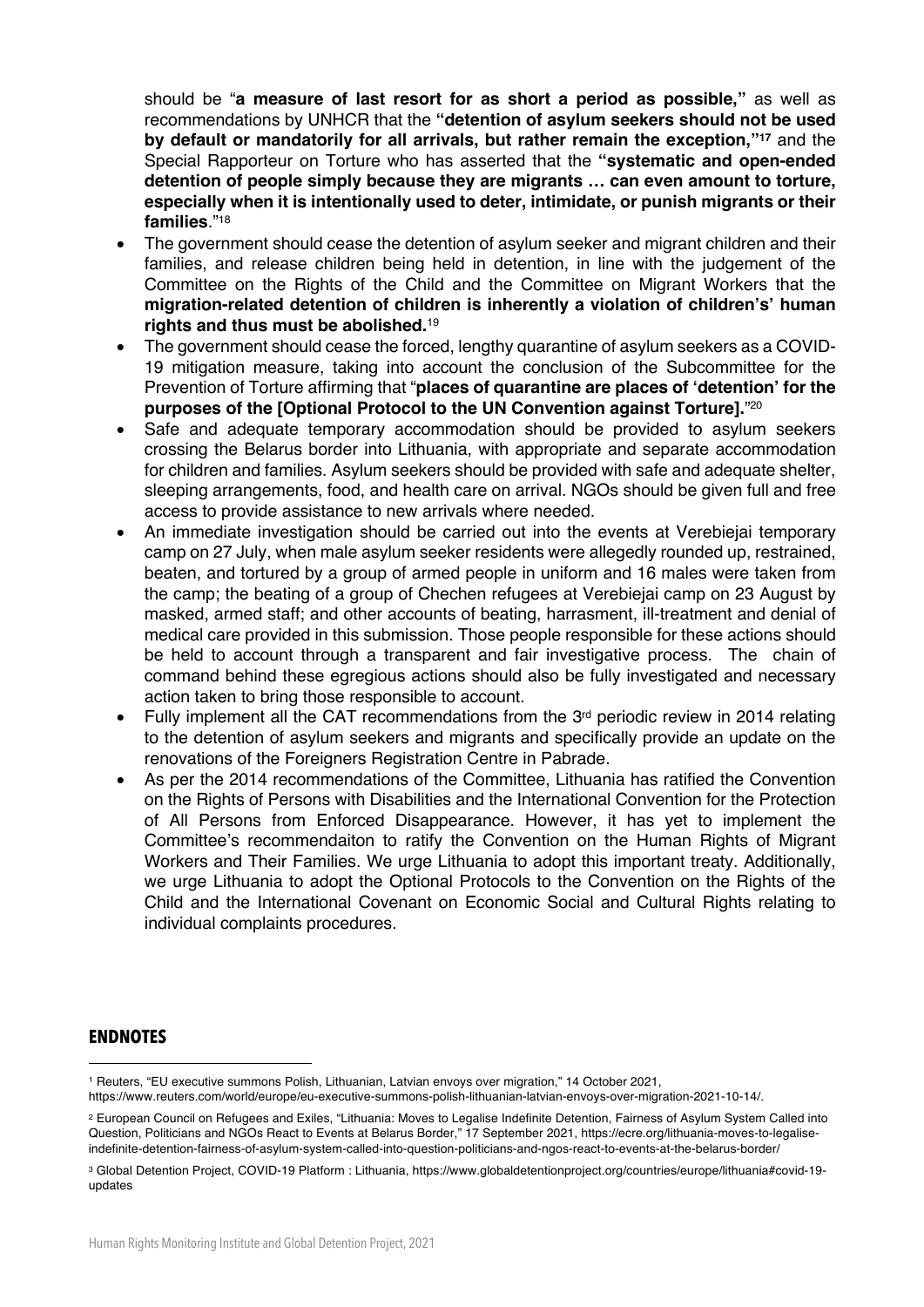should be "**a measure of last resort for as short a period as possible,"** as well as recommendations by UNHCR that the **"detention of asylum seekers should not be used by default or mandatorily for all arrivals, but rather remain the exception,"17** and the Special Rapporteur on Torture who has asserted that the **"systematic and open-ended detention of people simply because they are migrants … can even amount to torture, especially when it is intentionally used to deter, intimidate, or punish migrants or their families**."18

- The government should cease the detention of asylum seeker and migrant children and their families, and release children being held in detention, in line with the judgement of the Committee on the Rights of the Child and the Committee on Migrant Workers that the **migration-related detention of children is inherently a violation of children's' human rights and thus must be abolished.**<sup>19</sup>
- The government should cease the forced, lengthy quarantine of asylum seekers as a COVID-19 mitigation measure, taking into account the conclusion of the Subcommittee for the Prevention of Torture affirming that "**places of quarantine are places of 'detention' for the purposes of the [Optional Protocol to the UN Convention against Torture].**"20
- Safe and adequate temporary accommodation should be provided to asylum seekers crossing the Belarus border into Lithuania, with appropriate and separate accommodation for children and families. Asylum seekers should be provided with safe and adequate shelter, sleeping arrangements, food, and health care on arrival. NGOs should be given full and free access to provide assistance to new arrivals where needed.
- An immediate investigation should be carried out into the events at Verebiejai temporary camp on 27 July, when male asylum seeker residents were allegedly rounded up, restrained, beaten, and tortured by a group of armed people in uniform and 16 males were taken from the camp; the beating of a group of Chechen refugees at Verebiejai camp on 23 August by masked, armed staff; and other accounts of beating, harrasment, ill-treatment and denial of medical care provided in this submission. Those people responsible for these actions should be held to account through a transparent and fair investigative process. The chain of command behind these egregious actions should also be fully investigated and necessary action taken to bring those responsible to account.
- Fully implement all the CAT recommendations from the 3<sup>rd</sup> periodic review in 2014 relating to the detention of asylum seekers and migrants and specifically provide an update on the renovations of the Foreigners Registration Centre in Pabrade.
- As per the 2014 recommendations of the Committee, Lithuania has ratified the Convention on the Rights of Persons with Disabilities and the International Convention for the Protection of All Persons from Enforced Disappearance. However, it has yet to implement the Committee's recommendaiton to ratify the Convention on the Human Rights of Migrant Workers and Their Families. We urge Lithuania to adopt this important treaty. Additionally, we urge Lithuania to adopt the Optional Protocols to the Convention on the Rights of the Child and the International Covenant on Economic Social and Cultural Rights relating to individual complaints procedures.

#### **ENDNOTES**

<sup>1</sup> Reuters, "EU executive summons Polish, Lithuanian, Latvian envoys over migration," 14 October 2021,

https://www.reuters.com/world/europe/eu-executive-summons-polish-lithuanian-latvian-envoys-over-migration-2021-10-14/.

<sup>2</sup> European Council on Refugees and Exiles, "Lithuania: Moves to Legalise Indefinite Detention, Fairness of Asylum System Called into Question, Politicians and NGOs React to Events at Belarus Border," 17 September 2021, https://ecre.org/lithuania-moves-to-legaliseindefinite-detention-fairness-of-asylum-system-called-into-question-politicians-and-ngos-react-to-events-at-the-belarus-border/

<sup>3</sup> Global Detention Project, COVID-19 Platform : Lithuania, https://www.globaldetentionproject.org/countries/europe/lithuania#covid-19 updates